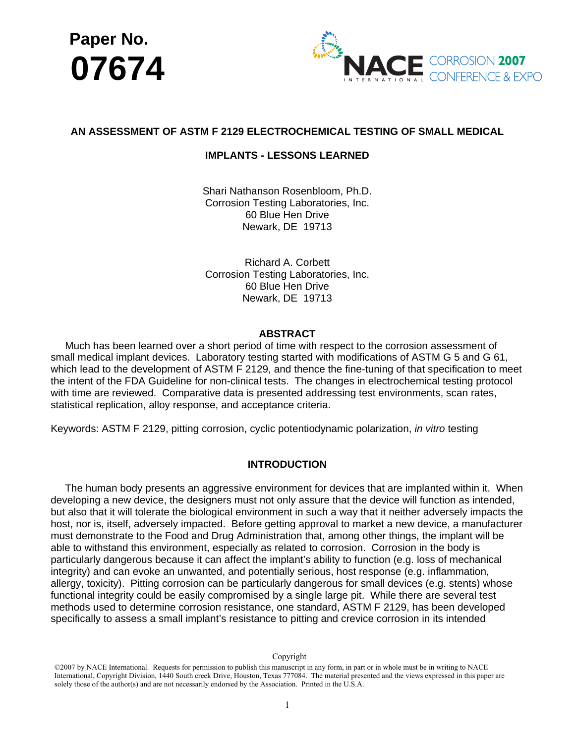



# **AN ASSESSMENT OF ASTM F 2129 ELECTROCHEMICAL TESTING OF SMALL MEDICAL**

# **IMPLANTS - LESSONS LEARNED**

Shari Nathanson Rosenbloom, Ph.D. Corrosion Testing Laboratories, Inc. 60 Blue Hen Drive Newark, DE 19713

Richard A. Corbett Corrosion Testing Laboratories, Inc. 60 Blue Hen Drive Newark, DE 19713

## **ABSTRACT**

 Much has been learned over a short period of time with respect to the corrosion assessment of small medical implant devices. Laboratory testing started with modifications of ASTM G 5 and G 61, which lead to the development of ASTM F 2129, and thence the fine-tuning of that specification to meet the intent of the FDA Guideline for non-clinical tests. The changes in electrochemical testing protocol with time are reviewed. Comparative data is presented addressing test environments, scan rates, statistical replication, alloy response, and acceptance criteria.

Keywords: ASTM F 2129, pitting corrosion, cyclic potentiodynamic polarization, *in vitro* testing

### **INTRODUCTION**

 The human body presents an aggressive environment for devices that are implanted within it. When developing a new device, the designers must not only assure that the device will function as intended, but also that it will tolerate the biological environment in such a way that it neither adversely impacts the host, nor is, itself, adversely impacted. Before getting approval to market a new device, a manufacturer must demonstrate to the Food and Drug Administration that, among other things, the implant will be able to withstand this environment, especially as related to corrosion. Corrosion in the body is particularly dangerous because it can affect the implant's ability to function (e.g. loss of mechanical integrity) and can evoke an unwanted, and potentially serious, host response (e.g. inflammation, allergy, toxicity). Pitting corrosion can be particularly dangerous for small devices (e.g. stents) whose functional integrity could be easily compromised by a single large pit. While there are several test methods used to determine corrosion resistance, one standard, ASTM F 2129, has been developed specifically to assess a small implant's resistance to pitting and crevice corrosion in its intended

<sup>©2007</sup> by NACE International. Requests for permission to publish this manuscript in any form, in part or in whole must be in writing to NACE International, Copyright Division, 1440 South creek Drive, Houston, Texas 777084. The material presented and the views expressed in this paper are solely those of the author(s) and are not necessarily endorsed by the Assoc C 2007 by NACE International. Requests for permission to publish this manuscript in any form, in part<br>International, Copyright Division, 1440 South creek Drive, Houston, Texas 777084. The material pres<br>solely those of the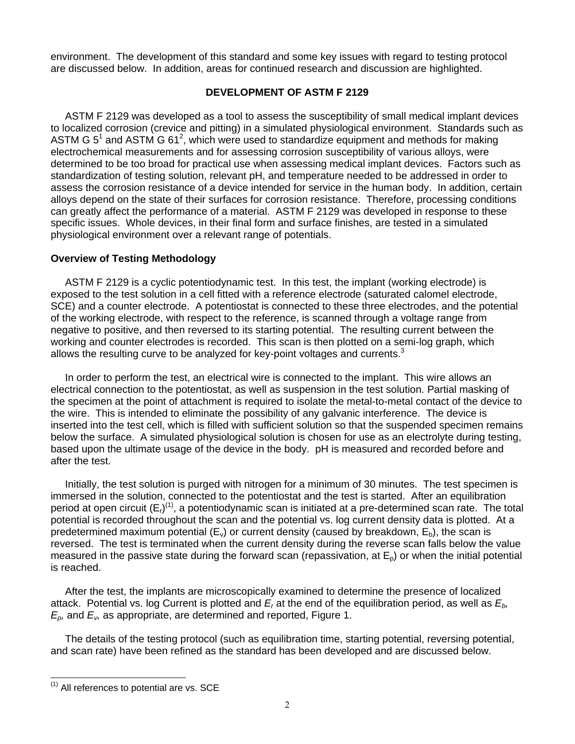environment. The development of this standard and some key issues with regard to testing protocol are discussed below. In addition, areas for continued research and discussion are highlighted.

# **DEVELOPMENT OF ASTM F 2129**

 ASTM F 2129 was developed as a tool to assess the susceptibility of small medical implant devices to localized corrosion (crevice and pitting) in a simulated physiological environment. Standards such as ASTM G 5<sup>1</sup> and ASTM G 61<sup>2</sup>, which were used to standardize equipment and methods for making electrochemical measurements and for assessing corrosion susceptibility of various alloys, were determined to be too broad for practical use when assessing medical implant devices. Factors such as standardization of testing solution, relevant pH, and temperature needed to be addressed in order to assess the corrosion resistance of a device intended for service in the human body. In addition, certain alloys depend on the state of their surfaces for corrosion resistance. Therefore, processing conditions can greatly affect the performance of a material. ASTM F 2129 was developed in response to these specific issues. Whole devices, in their final form and surface finishes, are tested in a simulated physiological environment over a relevant range of potentials.

# **Overview of Testing Methodology**

 ASTM F 2129 is a cyclic potentiodynamic test. In this test, the implant (working electrode) is exposed to the test solution in a cell fitted with a reference electrode (saturated calomel electrode, SCE) and a counter electrode. A potentiostat is connected to these three electrodes, and the potential of the working electrode, with respect to the reference, is scanned through a voltage range from negative to positive, and then reversed to its starting potential. The resulting current between the working and counter electrodes is recorded. This scan is then plotted on a semi-log graph, which allows the resulting curve to be analyzed for key-point voltages and currents. $3$ 

 In order to perform the test, an electrical wire is connected to the implant. This wire allows an electrical connection to the potentiostat, as well as suspension in the test solution. Partial masking of the specimen at the point of attachment is required to isolate the metal-to-metal contact of the device to the wire. This is intended to eliminate the possibility of any galvanic interference. The device is inserted into the test cell, which is filled with sufficient solution so that the suspended specimen remains below the surface. A simulated physiological solution is chosen for use as an electrolyte during testing, based upon the ultimate usage of the device in the body. pH is measured and recorded before and after the test.

 Initially, the test solution is purged with nitrogen for a minimum of 30 minutes. The test specimen is immersed in the solution, connected to the potentiostat and the test is started. After an equilibration period at open circuit  $(E_i)^{(1)}$ , a potentiodynamic scan is initiated at a pre-determined scan rate. The total potential is recorded throughout the scan and the potential vs. log current density data is plotted. At a predetermined maximum potential  $(E_v)$  or current density (caused by breakdown,  $E_b$ ), the scan is reversed. The test is terminated when the current density during the reverse scan falls below the value measured in the passive state during the forward scan (repassivation, at  $E_p$ ) or when the initial potential is reached.

 After the test, the implants are microscopically examined to determine the presence of localized attack. Potential vs. log Current is plotted and *Er* at the end of the equilibration period, as well as *Eb, Ep,* and *Ev,* as appropriate, are determined and reported, Figure 1.

 The details of the testing protocol (such as equilibration time, starting potential, reversing potential, and scan rate) have been refined as the standard has been developed and are discussed below.

 $<sup>(1)</sup>$  All references to potential are vs. SCE</sup>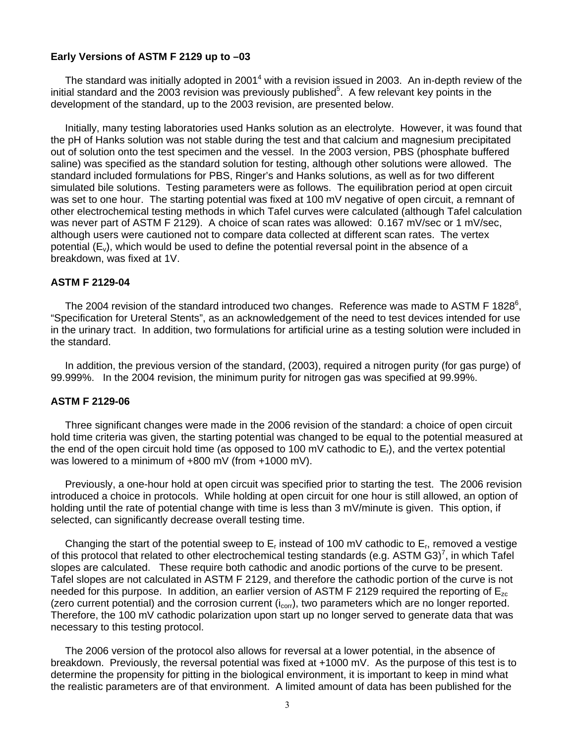## **Early Versions of ASTM F 2129 up to –03**

The standard was initially adopted in 2001<sup>4</sup> with a revision issued in 2003. An in-depth review of the initial standard and the 2003 revision was previously published<sup>5</sup>. A few relevant key points in the development of the standard, up to the 2003 revision, are presented below.

 Initially, many testing laboratories used Hanks solution as an electrolyte. However, it was found that the pH of Hanks solution was not stable during the test and that calcium and magnesium precipitated out of solution onto the test specimen and the vessel. In the 2003 version, PBS (phosphate buffered saline) was specified as the standard solution for testing, although other solutions were allowed. The standard included formulations for PBS, Ringer's and Hanks solutions, as well as for two different simulated bile solutions. Testing parameters were as follows. The equilibration period at open circuit was set to one hour. The starting potential was fixed at 100 mV negative of open circuit, a remnant of other electrochemical testing methods in which Tafel curves were calculated (although Tafel calculation was never part of ASTM F 2129). A choice of scan rates was allowed: 0.167 mV/sec or 1 mV/sec, although users were cautioned not to compare data collected at different scan rates. The vertex potential  $(E_v)$ , which would be used to define the potential reversal point in the absence of a breakdown, was fixed at 1V.

### **ASTM F 2129-04**

The 2004 revision of the standard introduced two changes. Reference was made to ASTM F 1828 $6$ , "Specification for Ureteral Stents", as an acknowledgement of the need to test devices intended for use in the urinary tract. In addition, two formulations for artificial urine as a testing solution were included in the standard.

 In addition, the previous version of the standard, (2003), required a nitrogen purity (for gas purge) of 99.999%. In the 2004 revision, the minimum purity for nitrogen gas was specified at 99.99%.

#### **ASTM F 2129-06**

 Three significant changes were made in the 2006 revision of the standard: a choice of open circuit hold time criteria was given, the starting potential was changed to be equal to the potential measured at the end of the open circuit hold time (as opposed to 100 mV cathodic to  $E<sub>1</sub>$ ), and the vertex potential was lowered to a minimum of +800 mV (from +1000 mV).

 Previously, a one-hour hold at open circuit was specified prior to starting the test. The 2006 revision introduced a choice in protocols. While holding at open circuit for one hour is still allowed, an option of holding until the rate of potential change with time is less than 3 mV/minute is given. This option, if selected, can significantly decrease overall testing time.

Changing the start of the potential sweep to  $E_r$  instead of 100 mV cathodic to  $E_r$ , removed a vestige of this protocol that related to other electrochemical testing standards (e.g. ASTM G3)<sup>7</sup>, in which Tafel slopes are calculated. These require both cathodic and anodic portions of the curve to be present. Tafel slopes are not calculated in ASTM F 2129, and therefore the cathodic portion of the curve is not needed for this purpose. In addition, an earlier version of ASTM F 2129 required the reporting of  $E_{zc}$ (zero current potential) and the corrosion current  $(i_{corr})$ , two parameters which are no longer reported. Therefore, the 100 mV cathodic polarization upon start up no longer served to generate data that was necessary to this testing protocol.

 The 2006 version of the protocol also allows for reversal at a lower potential, in the absence of breakdown. Previously, the reversal potential was fixed at +1000 mV. As the purpose of this test is to determine the propensity for pitting in the biological environment, it is important to keep in mind what the realistic parameters are of that environment. A limited amount of data has been published for the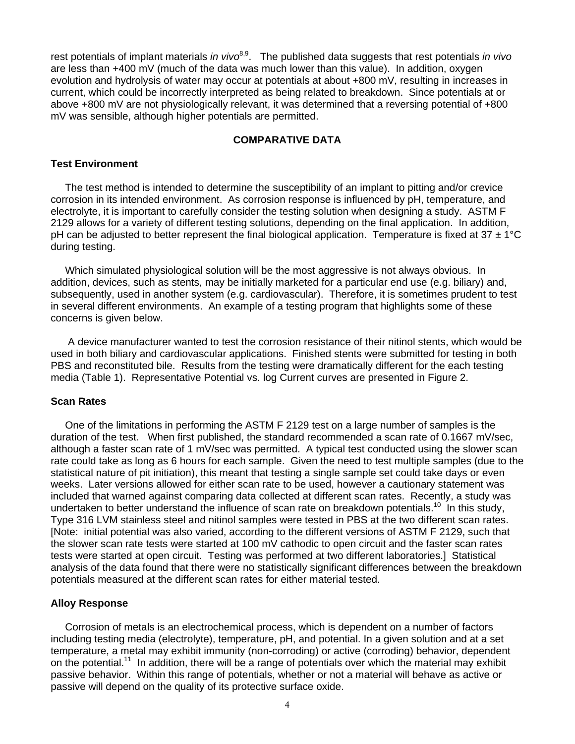rest potentials of implant materials *in vivo*<sup>8,9</sup>. The published data suggests that rest potentials *in vivo* are less than +400 mV (much of the data was much lower than this value). In addition, oxygen evolution and hydrolysis of water may occur at potentials at about +800 mV, resulting in increases in current, which could be incorrectly interpreted as being related to breakdown. Since potentials at or above +800 mV are not physiologically relevant, it was determined that a reversing potential of +800 mV was sensible, although higher potentials are permitted.

# **COMPARATIVE DATA**

#### **Test Environment**

 The test method is intended to determine the susceptibility of an implant to pitting and/or crevice corrosion in its intended environment. As corrosion response is influenced by pH, temperature, and electrolyte, it is important to carefully consider the testing solution when designing a study. ASTM F 2129 allows for a variety of different testing solutions, depending on the final application. In addition, pH can be adjusted to better represent the final biological application. Temperature is fixed at 37  $\pm$  1°C during testing.

 Which simulated physiological solution will be the most aggressive is not always obvious. In addition, devices, such as stents, may be initially marketed for a particular end use (e.g. biliary) and, subsequently, used in another system (e.g. cardiovascular). Therefore, it is sometimes prudent to test in several different environments. An example of a testing program that highlights some of these concerns is given below.

 A device manufacturer wanted to test the corrosion resistance of their nitinol stents, which would be used in both biliary and cardiovascular applications. Finished stents were submitted for testing in both PBS and reconstituted bile. Results from the testing were dramatically different for the each testing media (Table 1). Representative Potential vs. log Current curves are presented in Figure 2.

#### **Scan Rates**

 One of the limitations in performing the ASTM F 2129 test on a large number of samples is the duration of the test. When first published, the standard recommended a scan rate of 0.1667 mV/sec, although a faster scan rate of 1 mV/sec was permitted. A typical test conducted using the slower scan rate could take as long as 6 hours for each sample. Given the need to test multiple samples (due to the statistical nature of pit initiation), this meant that testing a single sample set could take days or even weeks. Later versions allowed for either scan rate to be used, however a cautionary statement was included that warned against comparing data collected at different scan rates. Recently, a study was undertaken to better understand the influence of scan rate on breakdown potentials.<sup>10</sup> In this study, Type 316 LVM stainless steel and nitinol samples were tested in PBS at the two different scan rates. [Note: initial potential was also varied, according to the different versions of ASTM F 2129, such that the slower scan rate tests were started at 100 mV cathodic to open circuit and the faster scan rates tests were started at open circuit. Testing was performed at two different laboratories.] Statistical analysis of the data found that there were no statistically significant differences between the breakdown potentials measured at the different scan rates for either material tested.

### **Alloy Response**

 Corrosion of metals is an electrochemical process, which is dependent on a number of factors including testing media (electrolyte), temperature, pH, and potential. In a given solution and at a set temperature, a metal may exhibit immunity (non-corroding) or active (corroding) behavior, dependent on the potential.<sup>11</sup> In addition, there will be a range of potentials over which the material may exhibit passive behavior. Within this range of potentials, whether or not a material will behave as active or passive will depend on the quality of its protective surface oxide.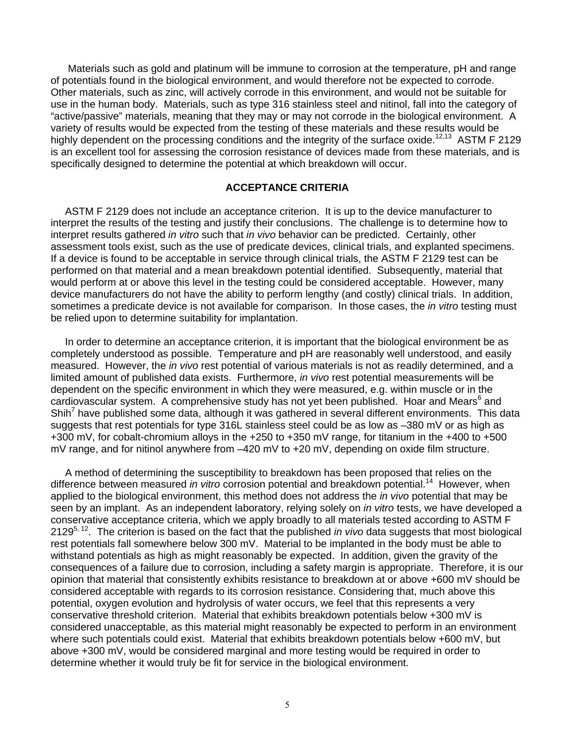Materials such as gold and platinum will be immune to corrosion at the temperature, pH and range of potentials found in the biological environment, and would therefore not be expected to corrode. Other materials, such as zinc, will actively corrode in this environment, and would not be suitable for use in the human body. Materials, such as type 316 stainless steel and nitinol, fall into the category of "active/passive" materials, meaning that they may or may not corrode in the biological environment. A variety of results would be expected from the testing of these materials and these results would be highly dependent on the processing conditions and the integrity of the surface oxide.<sup>12,13</sup> ASTM F 2129 is an excellent tool for assessing the corrosion resistance of devices made from these materials, and is specifically designed to determine the potential at which breakdown will occur.

# **ACCEPTANCE CRITERIA**

 ASTM F 2129 does not include an acceptance criterion. It is up to the device manufacturer to interpret the results of the testing and justify their conclusions. The challenge is to determine how to interpret results gathered *in vitro* such that *in vivo* behavior can be predicted. Certainly, other assessment tools exist, such as the use of predicate devices, clinical trials, and explanted specimens. If a device is found to be acceptable in service through clinical trials, the ASTM F 2129 test can be performed on that material and a mean breakdown potential identified. Subsequently, material that would perform at or above this level in the testing could be considered acceptable. However, many device manufacturers do not have the ability to perform lengthy (and costly) clinical trials. In addition, sometimes a predicate device is not available for comparison. In those cases, the *in vitro* testing must be relied upon to determine suitability for implantation.

 In order to determine an acceptance criterion, it is important that the biological environment be as completely understood as possible. Temperature and pH are reasonably well understood, and easily measured. However, the *in vivo* rest potential of various materials is not as readily determined, and a limited amount of published data exists. Furthermore, *in vivo* rest potential measurements will be dependent on the specific environment in which they were measured, e.g. within muscle or in the cardiovascular system. A comprehensive study has not yet been published. Hoar and Mears<sup>6</sup> and Shih<sup>7</sup> have published some data, although it was gathered in several different environments. This data suggests that rest potentials for type 316L stainless steel could be as low as -380 mV or as high as +300 mV, for cobalt-chromium alloys in the +250 to +350 mV range, for titanium in the +400 to +500 mV range, and for nitinol anywhere from –420 mV to +20 mV, depending on oxide film structure.

 A method of determining the susceptibility to breakdown has been proposed that relies on the difference between measured *in vitro* corrosion potential and breakdown potential.<sup>14</sup> However, when applied to the biological environment, this method does not address the *in vivo* potential that may be seen by an implant. As an independent laboratory, relying solely on *in vitro* tests, we have developed a conservative acceptance criteria, which we apply broadly to all materials tested according to ASTM F 21295, 12. The criterion is based on the fact that the published *in vivo* data suggests that most biological rest potentials fall somewhere below 300 mV. Material to be implanted in the body must be able to withstand potentials as high as might reasonably be expected. In addition, given the gravity of the consequences of a failure due to corrosion, including a safety margin is appropriate. Therefore, it is our opinion that material that consistently exhibits resistance to breakdown at or above +600 mV should be considered acceptable with regards to its corrosion resistance. Considering that, much above this potential, oxygen evolution and hydrolysis of water occurs, we feel that this represents a very conservative threshold criterion. Material that exhibits breakdown potentials below +300 mV is considered unacceptable, as this material might reasonably be expected to perform in an environment where such potentials could exist. Material that exhibits breakdown potentials below +600 mV, but above +300 mV, would be considered marginal and more testing would be required in order to determine whether it would truly be fit for service in the biological environment.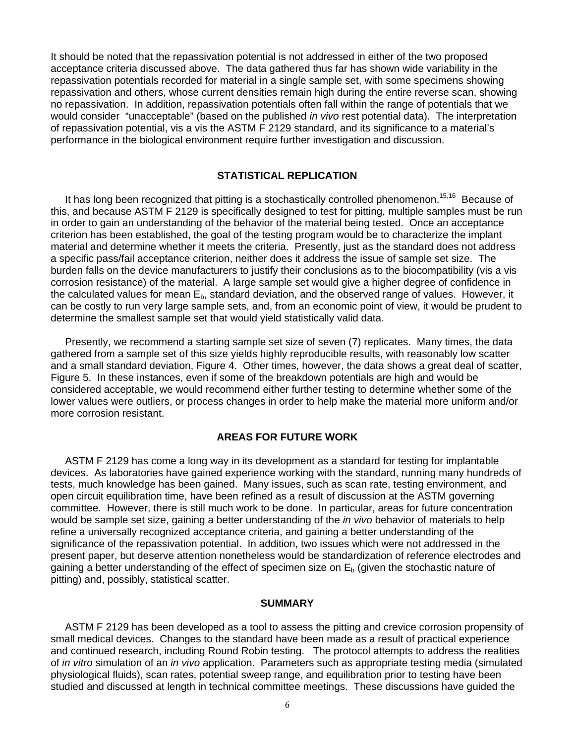It should be noted that the repassivation potential is not addressed in either of the two proposed acceptance criteria discussed above. The data gathered thus far has shown wide variability in the repassivation potentials recorded for material in a single sample set, with some specimens showing repassivation and others, whose current densities remain high during the entire reverse scan, showing no repassivation. In addition, repassivation potentials often fall within the range of potentials that we would consider "unacceptable" (based on the published *in vivo* rest potential data). The interpretation of repassivation potential, vis a vis the ASTM F 2129 standard, and its significance to a material's performance in the biological environment require further investigation and discussion.

# **STATISTICAL REPLICATION**

It has long been recognized that pitting is a stochastically controlled phenomenon.<sup>15,16</sup> Because of this, and because ASTM F 2129 is specifically designed to test for pitting, multiple samples must be run in order to gain an understanding of the behavior of the material being tested. Once an acceptance criterion has been established, the goal of the testing program would be to characterize the implant material and determine whether it meets the criteria. Presently, just as the standard does not address a specific pass/fail acceptance criterion, neither does it address the issue of sample set size. The burden falls on the device manufacturers to justify their conclusions as to the biocompatibility (vis a vis corrosion resistance) of the material. A large sample set would give a higher degree of confidence in the calculated values for mean  $E<sub>b</sub>$ , standard deviation, and the observed range of values. However, it can be costly to run very large sample sets, and, from an economic point of view, it would be prudent to determine the smallest sample set that would yield statistically valid data.

 Presently, we recommend a starting sample set size of seven (7) replicates. Many times, the data gathered from a sample set of this size yields highly reproducible results, with reasonably low scatter and a small standard deviation, Figure 4. Other times, however, the data shows a great deal of scatter, Figure 5. In these instances, even if some of the breakdown potentials are high and would be considered acceptable, we would recommend either further testing to determine whether some of the lower values were outliers, or process changes in order to help make the material more uniform and/or more corrosion resistant.

# **AREAS FOR FUTURE WORK**

 ASTM F 2129 has come a long way in its development as a standard for testing for implantable devices. As laboratories have gained experience working with the standard, running many hundreds of tests, much knowledge has been gained. Many issues, such as scan rate, testing environment, and open circuit equilibration time, have been refined as a result of discussion at the ASTM governing committee. However, there is still much work to be done. In particular, areas for future concentration would be sample set size, gaining a better understanding of the *in vivo* behavior of materials to help refine a universally recognized acceptance criteria, and gaining a better understanding of the significance of the repassivation potential. In addition, two issues which were not addressed in the present paper, but deserve attention nonetheless would be standardization of reference electrodes and gaining a better understanding of the effect of specimen size on  $E<sub>b</sub>$  (given the stochastic nature of pitting) and, possibly, statistical scatter.

### **SUMMARY**

 ASTM F 2129 has been developed as a tool to assess the pitting and crevice corrosion propensity of small medical devices. Changes to the standard have been made as a result of practical experience and continued research, including Round Robin testing. The protocol attempts to address the realities of *in vitro* simulation of an *in vivo* application. Parameters such as appropriate testing media (simulated physiological fluids), scan rates, potential sweep range, and equilibration prior to testing have been studied and discussed at length in technical committee meetings. These discussions have guided the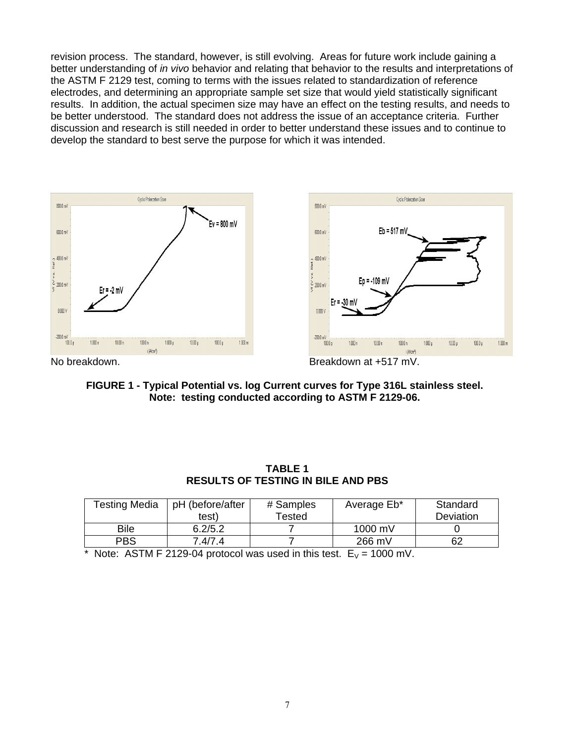revision process. The standard, however, is still evolving. Areas for future work include gaining a better understanding of *in vivo* behavior and relating that behavior to the results and interpretations of the ASTM F 2129 test, coming to terms with the issues related to standardization of reference electrodes, and determining an appropriate sample set size that would yield statistically significant results. In addition, the actual specimen size may have an effect on the testing results, and needs to be better understood. The standard does not address the issue of an acceptance criteria. Further discussion and research is still needed in order to better understand these issues and to continue to develop the standard to best serve the purpose for which it was intended.



**FIGURE 1 - Typical Potential vs. log Current curves for Type 316L stainless steel. Note: testing conducted according to ASTM F 2129-06.** 

| Testing Media | pH (before/after | # Samples | Average Eb*       | Standard  |
|---------------|------------------|-----------|-------------------|-----------|
|               | test)            | Tested    |                   | Deviation |
| Bile          | 6.2/5.2          |           | $1000 \text{ mV}$ |           |
| <b>PBS</b>    | 7.4/7.4          |           | 266 mV            | 62        |

**TABLE 1 RESULTS OF TESTING IN BILE AND PBS** 

\* Note: ASTM F 2129-04 protocol was used in this test.  $E_V = 1000$  mV.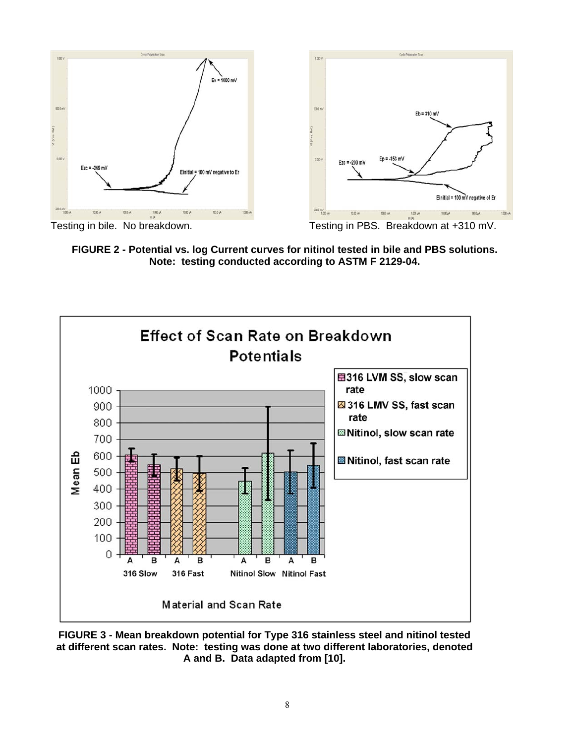



Testing in bile. No breakdown. Testing in PBS. Breakdown at +310 mV.

**FIGURE 2 - Potential vs. log Current curves for nitinol tested in bile and PBS solutions. Note: testing conducted according to ASTM F 2129-04.** 



**FIGURE 3 - Mean breakdown potential for Type 316 stainless steel and nitinol tested at different scan rates. Note: testing was done at two different laboratories, denoted A and B. Data adapted from [10].**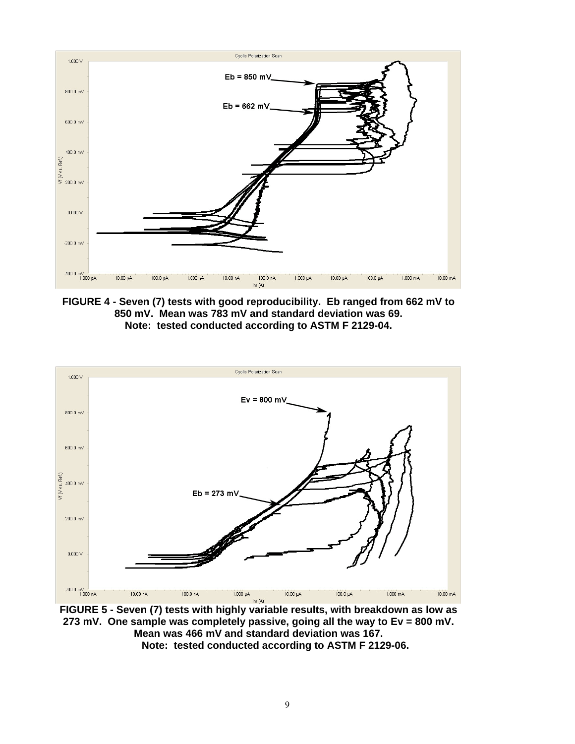

**FIGURE 4 - Seven (7) tests with good reproducibility. Eb ranged from 662 mV to 850 mV. Mean was 783 mV and standard deviation was 69. Note: tested conducted according to ASTM F 2129-04.** 



**FIGURE 5 - Seven (7) tests with highly variable results, with breakdown as low as 273 mV. One sample was completely passive, going all the way to Ev = 800 mV. Mean was 466 mV and standard deviation was 167. Note: tested conducted according to ASTM F 2129-06.**